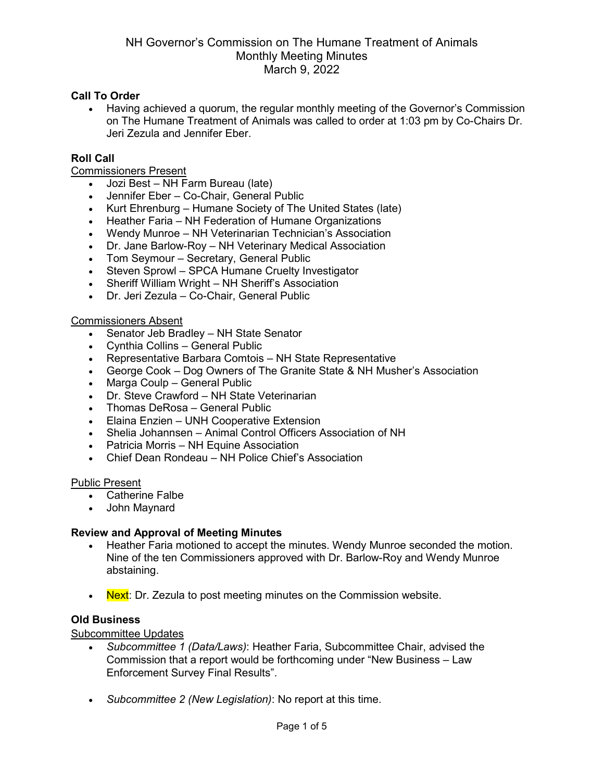## **Call To Order**

• Having achieved a quorum, the regular monthly meeting of the Governor's Commission on The Humane Treatment of Animals was called to order at 1:03 pm by Co-Chairs Dr. Jeri Zezula and Jennifer Eber.

### **Roll Call**

Commissioners Present

- Jozi Best NH Farm Bureau (late)
- Jennifer Eber Co-Chair, General Public
- Kurt Ehrenburg Humane Society of The United States (late)
- Heather Faria NH Federation of Humane Organizations
- Wendy Munroe NH Veterinarian Technician's Association
- Dr. Jane Barlow-Roy NH Veterinary Medical Association
- Tom Seymour Secretary, General Public
- Steven Sprowl SPCA Humane Cruelty Investigator
- Sheriff William Wright NH Sheriff's Association
- Dr. Jeri Zezula Co-Chair, General Public

### Commissioners Absent

- Senator Jeb Bradley NH State Senator
- Cynthia Collins General Public
- Representative Barbara Comtois NH State Representative
- George Cook Dog Owners of The Granite State & NH Musher's Association
- Marga Coulp General Public
- Dr. Steve Crawford NH State Veterinarian
- Thomas DeRosa General Public
- Elaina Enzien UNH Cooperative Extension
- Shelia Johannsen Animal Control Officers Association of NH
- Patricia Morris NH Equine Association
- Chief Dean Rondeau NH Police Chief's Association

### Public Present

- Catherine Falbe
- John Maynard

### **Review and Approval of Meeting Minutes**

- Heather Faria motioned to accept the minutes. Wendy Munroe seconded the motion. Nine of the ten Commissioners approved with Dr. Barlow-Roy and Wendy Munroe abstaining.
- Next: Dr. Zezula to post meeting minutes on the Commission website.

### **Old Business**

Subcommittee Updates

- *Subcommittee 1 (Data/Laws)*: Heather Faria, Subcommittee Chair, advised the Commission that a report would be forthcoming under "New Business – Law Enforcement Survey Final Results".
- *Subcommittee 2 (New Legislation)*: No report at this time.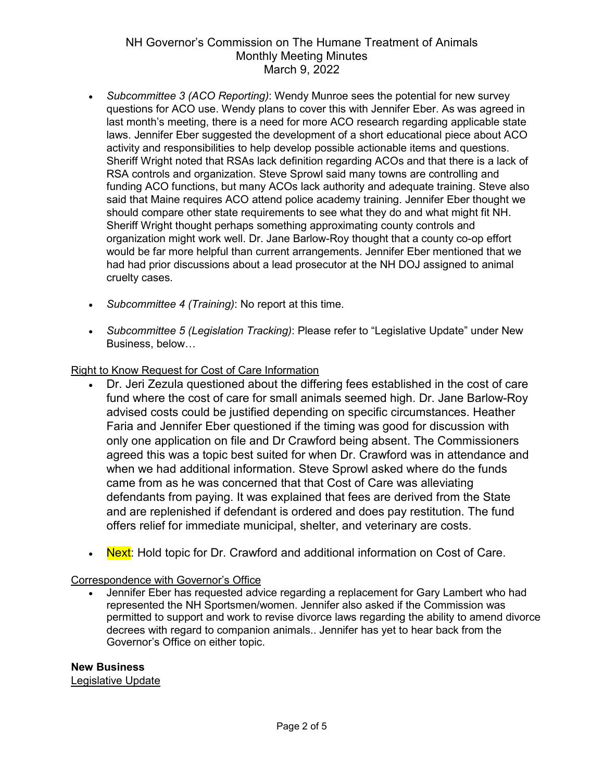- *Subcommittee 3 (ACO Reporting)*: Wendy Munroe sees the potential for new survey questions for ACO use. Wendy plans to cover this with Jennifer Eber. As was agreed in last month's meeting, there is a need for more ACO research regarding applicable state laws. Jennifer Eber suggested the development of a short educational piece about ACO activity and responsibilities to help develop possible actionable items and questions. Sheriff Wright noted that RSAs lack definition regarding ACOs and that there is a lack of RSA controls and organization. Steve Sprowl said many towns are controlling and funding ACO functions, but many ACOs lack authority and adequate training. Steve also said that Maine requires ACO attend police academy training. Jennifer Eber thought we should compare other state requirements to see what they do and what might fit NH. Sheriff Wright thought perhaps something approximating county controls and organization might work well. Dr. Jane Barlow-Roy thought that a county co-op effort would be far more helpful than current arrangements. Jennifer Eber mentioned that we had had prior discussions about a lead prosecutor at the NH DOJ assigned to animal cruelty cases.
- *Subcommittee 4 (Training)*: No report at this time.
- *Subcommittee 5 (Legislation Tracking)*: Please refer to "Legislative Update" under New Business, below…

## Right to Know Request for Cost of Care Information

- Dr. Jeri Zezula questioned about the differing fees established in the cost of care fund where the cost of care for small animals seemed high. Dr. Jane Barlow-Roy advised costs could be justified depending on specific circumstances. Heather Faria and Jennifer Eber questioned if the timing was good for discussion with only one application on file and Dr Crawford being absent. The Commissioners agreed this was a topic best suited for when Dr. Crawford was in attendance and when we had additional information. Steve Sprowl asked where do the funds came from as he was concerned that that Cost of Care was alleviating defendants from paying. It was explained that fees are derived from the State and are replenished if defendant is ordered and does pay restitution. The fund offers relief for immediate municipal, shelter, and veterinary are costs.
- Next: Hold topic for Dr. Crawford and additional information on Cost of Care.

## Correspondence with Governor's Office

• Jennifer Eber has requested advice regarding a replacement for Gary Lambert who had represented the NH Sportsmen/women. Jennifer also asked if the Commission was permitted to support and work to revise divorce laws regarding the ability to amend divorce decrees with regard to companion animals.. Jennifer has yet to hear back from the Governor's Office on either topic.

# **New Business**

Legislative Update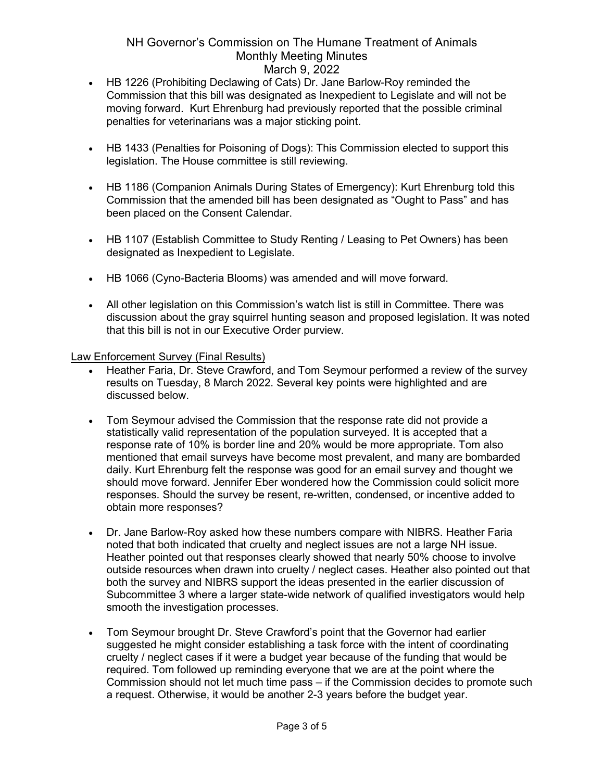- HB 1226 (Prohibiting Declawing of Cats) Dr. Jane Barlow-Roy reminded the Commission that this bill was designated as Inexpedient to Legislate and will not be moving forward. Kurt Ehrenburg had previously reported that the possible criminal penalties for veterinarians was a major sticking point.
- HB 1433 (Penalties for Poisoning of Dogs): This Commission elected to support this legislation. The House committee is still reviewing.
- HB 1186 (Companion Animals During States of Emergency): Kurt Ehrenburg told this Commission that the amended bill has been designated as "Ought to Pass" and has been placed on the Consent Calendar.
- HB 1107 (Establish Committee to Study Renting / Leasing to Pet Owners) has been designated as Inexpedient to Legislate.
- HB 1066 (Cyno-Bacteria Blooms) was amended and will move forward.
- All other legislation on this Commission's watch list is still in Committee. There was discussion about the gray squirrel hunting season and proposed legislation. It was noted that this bill is not in our Executive Order purview.

Law Enforcement Survey (Final Results)

- Heather Faria, Dr. Steve Crawford, and Tom Seymour performed a review of the survey results on Tuesday, 8 March 2022. Several key points were highlighted and are discussed below.
- Tom Seymour advised the Commission that the response rate did not provide a statistically valid representation of the population surveyed. It is accepted that a response rate of 10% is border line and 20% would be more appropriate. Tom also mentioned that email surveys have become most prevalent, and many are bombarded daily. Kurt Ehrenburg felt the response was good for an email survey and thought we should move forward. Jennifer Eber wondered how the Commission could solicit more responses. Should the survey be resent, re-written, condensed, or incentive added to obtain more responses?
- Dr. Jane Barlow-Roy asked how these numbers compare with NIBRS. Heather Faria noted that both indicated that cruelty and neglect issues are not a large NH issue. Heather pointed out that responses clearly showed that nearly 50% choose to involve outside resources when drawn into cruelty / neglect cases. Heather also pointed out that both the survey and NIBRS support the ideas presented in the earlier discussion of Subcommittee 3 where a larger state-wide network of qualified investigators would help smooth the investigation processes.
- Tom Seymour brought Dr. Steve Crawford's point that the Governor had earlier suggested he might consider establishing a task force with the intent of coordinating cruelty / neglect cases if it were a budget year because of the funding that would be required. Tom followed up reminding everyone that we are at the point where the Commission should not let much time pass – if the Commission decides to promote such a request. Otherwise, it would be another 2-3 years before the budget year.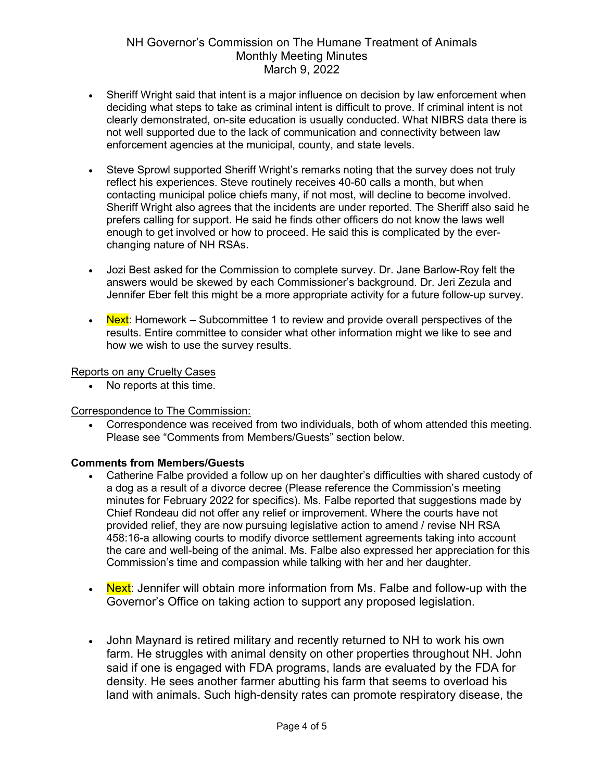- Sheriff Wright said that intent is a major influence on decision by law enforcement when deciding what steps to take as criminal intent is difficult to prove. If criminal intent is not clearly demonstrated, on-site education is usually conducted. What NIBRS data there is not well supported due to the lack of communication and connectivity between law enforcement agencies at the municipal, county, and state levels.
- Steve Sprowl supported Sheriff Wright's remarks noting that the survey does not truly reflect his experiences. Steve routinely receives 40-60 calls a month, but when contacting municipal police chiefs many, if not most, will decline to become involved. Sheriff Wright also agrees that the incidents are under reported. The Sheriff also said he prefers calling for support. He said he finds other officers do not know the laws well enough to get involved or how to proceed. He said this is complicated by the everchanging nature of NH RSAs.
- Jozi Best asked for the Commission to complete survey. Dr. Jane Barlow-Roy felt the answers would be skewed by each Commissioner's background. Dr. Jeri Zezula and Jennifer Eber felt this might be a more appropriate activity for a future follow-up survey.
- Next: Homework Subcommittee 1 to review and provide overall perspectives of the results. Entire committee to consider what other information might we like to see and how we wish to use the survey results.

## Reports on any Cruelty Cases

• No reports at this time.

## Correspondence to The Commission:

• Correspondence was received from two individuals, both of whom attended this meeting. Please see "Comments from Members/Guests" section below.

## **Comments from Members/Guests**

- Catherine Falbe provided a follow up on her daughter's difficulties with shared custody of a dog as a result of a divorce decree (Please reference the Commission's meeting minutes for February 2022 for specifics). Ms. Falbe reported that suggestions made by Chief Rondeau did not offer any relief or improvement. Where the courts have not provided relief, they are now pursuing legislative action to amend / revise NH RSA 458:16-a allowing courts to modify divorce settlement agreements taking into account the care and well-being of the animal. Ms. Falbe also expressed her appreciation for this Commission's time and compassion while talking with her and her daughter.
- Next: Jennifer will obtain more information from Ms. Falbe and follow-up with the Governor's Office on taking action to support any proposed legislation.
- John Maynard is retired military and recently returned to NH to work his own farm. He struggles with animal density on other properties throughout NH. John said if one is engaged with FDA programs, lands are evaluated by the FDA for density. He sees another farmer abutting his farm that seems to overload his land with animals. Such high-density rates can promote respiratory disease, the